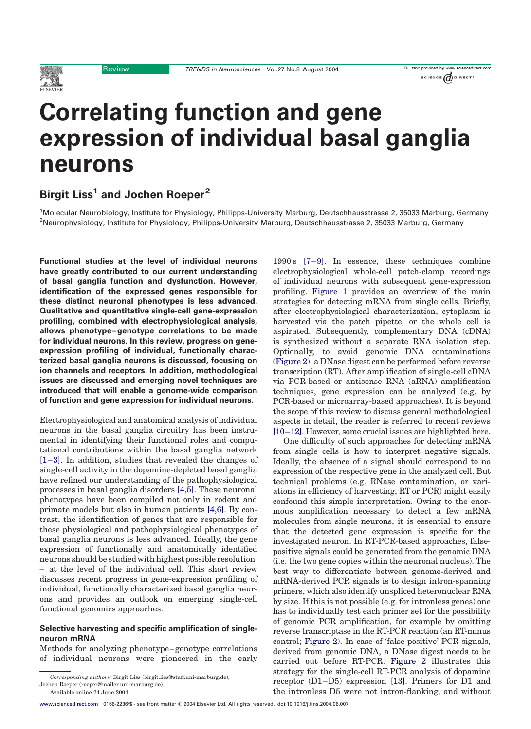Review TRENDS in Neurosciences Vol.27 No.8 August 2004

#### Full text provided by www.sciencedirect.com SCIENCE  $\omega$  DIRECT'

# Correlating function and gene expression of individual basal ganglia neurons

# Birgit Liss<sup>1</sup> and Jochen Roeper<sup>2</sup>

<sup>1</sup>Molecular Neurobiology, Institute for Physiology, Philipps-University Marburg, Deutschhausstrasse 2, 35033 Marburg, Germany <sup>2</sup>Neurophysiology, Institute for Physiology, Philipps-University Marburg, Deutschhausstrasse 2, 35033 Marburg, Germany

Functional studies at the level of individual neurons have greatly contributed to our current understanding of basal ganglia function and dysfunction. However, identification of the expressed genes responsible for these distinct neuronal phenotypes is less advanced. Qualitative and quantitative single-cell gene-expression profiling, combined with electrophysiological analysis, allows phenotype –genotype correlations to be made for individual neurons. In this review, progress on geneexpression profiling of individual, functionally characterized basal ganglia neurons is discussed, focusing on ion channels and receptors. In addition, methodological issues are discussed and emerging novel techniques are introduced that will enable a genome-wide comparison of function and gene expression for individual neurons.

Electrophysiological and anatomical analysis of individual neurons in the basal ganglia circuitry has been instrumental in identifying their functional roles and computational contributions within the basal ganglia network [\[1–3\].](#page-5-0) In addition, studies that revealed the changes of single-cell activity in the dopamine-depleted basal ganglia have refined our understanding of the pathophysiological processes in basal ganglia disorders [\[4,5\].](#page-5-0) These neuronal phenotypes have been compiled not only in rodent and primate models but also in human patients [\[4,6\]](#page-5-0). By contrast, the identification of genes that are responsible for these physiological and pathophysiological phenotypes of basal ganglia neurons is less advanced. Ideally, the gene expression of functionally and anatomically identified neurons should be studied with highest possible resolution – at the level of the individual cell. This short review discusses recent progress in gene-expression profiling of individual, functionally characterized basal ganglia neurons and provides an outlook on emerging single-cell functional genomics approaches.

## Selective harvesting and specific amplification of singleneuron mRNA

Methods for analyzing phenotype–genotype correlations of individual neurons were pioneered in the early

1990 s [\[7–9\].](#page-5-0) In essence, these techniques combine electrophysiological whole-cell patch-clamp recordings of individual neurons with subsequent gene-expression profiling. [Figure 1](#page-1-0) provides an overview of the main strategies for detecting mRNA from single cells. Briefly, after electrophysiological characterization, cytoplasm is harvested via the patch pipette, or the whole cell is aspirated. Subsequently, complementary DNA (cDNA) is synthesized without a separate RNA isolation step. Optionally, to avoid genomic DNA contaminations ([Figure 2](#page-2-0)), a DNase digest can be performed before reverse transcription (RT). After amplification of single-cell cDNA via PCR-based or antisense RNA (aRNA) amplification techniques, gene expression can be analyzed (e.g. by PCR-based or microarray-based approaches). It is beyond the scope of this review to discuss general methodological aspects in detail, the reader is referred to recent reviews [\[10–12\]](#page-5-0). However, some crucial issues are highlighted here.

One difficulty of such approaches for detecting mRNA from single cells is how to interpret negative signals. Ideally, the absence of a signal should correspond to no expression of the respective gene in the analyzed cell. But technical problems (e.g. RNase contamination, or variations in efficiency of harvesting, RT or PCR) might easily confound this simple interpretation. Owing to the enormous amplification necessary to detect a few mRNA molecules from single neurons, it is essential to ensure that the detected gene expression is specific for the investigated neuron. In RT-PCR-based approaches, falsepositive signals could be generated from the genomic DNA (i.e. the two gene copies within the neuronal nucleus). The best way to differentiate between genome-derived and mRNA-derived PCR signals is to design intron-spanning primers, which also identify unspliced heteronuclear RNA by size. If this is not possible (e.g. for intronless genes) one has to individually test each primer set for the possibility of genomic PCR amplification, for example by omitting reverse transcriptase in the RT-PCR reaction (an RT-minus control; [Figure 2\)](#page-2-0). In case of 'false-positive' PCR signals, derived from genomic DNA, a DNase digest needs to be carried out before RT-PCR. [Figure 2](#page-2-0) illustrates this strategy for the single-cell RT-PCR analysis of dopamine receptor (D1–D5) expression [\[13\]](#page-5-0). Primers for D1 and the intronless D5 were not intron-flanking, and without

Corresponding authors: Birgit Liss (birgit.liss@staff.uni-marburg.de),

Jochen Roeper (roeper@mailer.uni-marburg.de).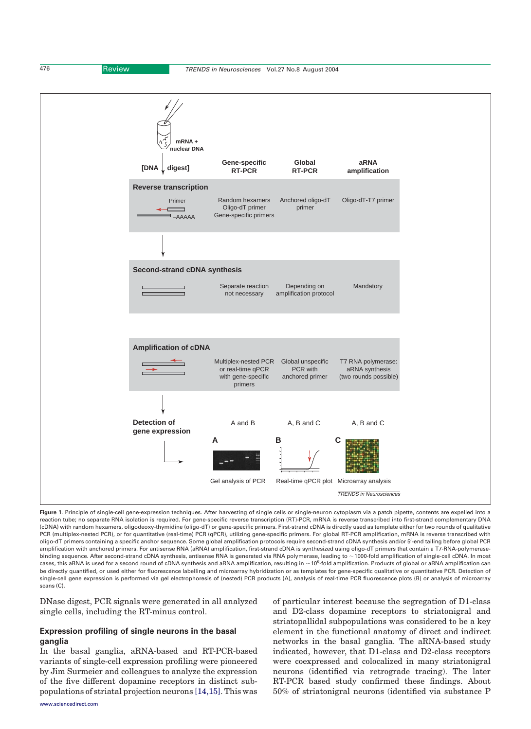

<span id="page-1-0"></span>

Figure 1. Principle of single-cell gene-expression techniques. After harvesting of single cells or single-neuron cytoplasm via a patch pipette, contents are expelled into a reaction tube; no separate RNA isolation is required. For gene-specific reverse transcription (RT)-PCR, mRNA is reverse transcribed into first-strand complementary DNA (cDNA) with random hexamers, oligodeoxy-thymidine (oligo-dT) or gene-specific primers. First-strand cDNA is directly used as template either for two rounds of qualitative PCR (multiplex-nested PCR), or for quantitative (real-time) PCR (qPCR), utilizing gene-specific primers. For global RT-PCR amplification, mRNA is reverse transcribed with oligo-dT primers containing a specific anchor sequence. Some global amplification protocols require second-strand cDNA synthesis and/or 5'-end tailing before global PCR amplification with anchored primers. For antisense RNA (aRNA) amplification, first-strand cDNA is synthesized using oligo-dT primers that contain a T7-RNA-polymerasebinding sequence. After second-strand cDNA synthesis, antisense RNA is generated via RNA polymerase, leading to ~1000-fold amplification of single-cell cDNA. In most cases, this aRNA is used for a second round of cDNA synthesis and aRNA amplification, resulting in  $\sim$  10<sup>6</sup>-fold amplification. Products of global or aRNA amplification can be directly quantified, or used either for fluorescence labelling and microarray hybridization or as templates for gene-specific qualitative or quantitative PCR. Detection of single-cell gene expression is performed via gel electrophoresis of (nested) PCR products (A), analysis of real-time PCR fluorescence plots (B) or analysis of microarray scans (C).

DNase digest, PCR signals were generated in all analyzed single cells, including the RT-minus control.

## Expression profiling of single neurons in the basal ganglia

In the basal ganglia, aRNA-based and RT-PCR-based variants of single-cell expression profiling were pioneered by Jim Surmeier and colleagues to analyze the expression of the five different dopamine receptors in distinct subpopulations of striatal projection neurons [\[14,15\]](#page-5-0). This was of particular interest because the segregation of D1-class and D2-class dopamine receptors to striatonigral and striatopallidal subpopulations was considered to be a key element in the functional anatomy of direct and indirect networks in the basal ganglia. The aRNA-based study indicated, however, that D1-class and D2-class receptors were coexpressed and colocalized in many striatonigral neurons (identified via retrograde tracing). The later RT-PCR based study confirmed these findings. About 50% of striatonigral neurons (identified via substance P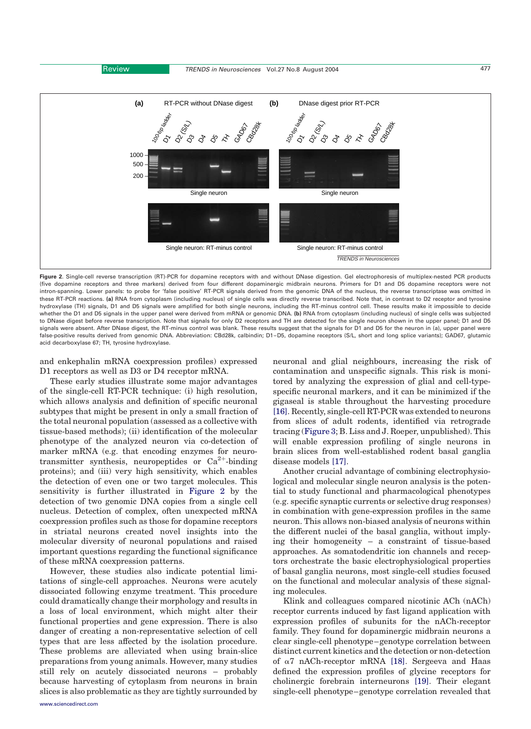<span id="page-2-0"></span>

Figure 2. Single-cell reverse transcription (RT)-PCR for dopamine receptors with and without DNase digestion. Gel electrophoresis of multiplex-nested PCR products (five dopamine receptors and three markers) derived from four different dopaminergic midbrain neurons. Primers for D1 and D5 dopamine receptors were not intron-spanning. Lower panels: to probe for 'false positive' RT-PCR signals derived from the genomic DNA of the nucleus, the reverse transcriptase was omitted in these RT-PCR reactions. (a) RNA from cytoplasm (including nucleus) of single cells was directly reverse transcribed. Note that, in contrast to D2 receptor and tyrosine hydroxylase (TH) signals, D1 and D5 signals were amplified for both single neurons, including the RT-minus control cell. These results make it impossible to decide whether the D1 and D5 signals in the upper panel were derived from mRNA or genomic DNA. (b) RNA from cytoplasm (including nucleus) of single cells was subjected to DNase digest before reverse transcription. Note that signals for only D2 receptors and TH are detected for the single neuron shown in the upper panel; D1 and D5 signals were absent. After DNase digest, the RT-minus control was blank. These results suggest that the signals for D1 and D5 for the neuron in (a), upper panel were false-positive results derived from genomic DNA. Abbreviation: CBd28k, calbindin; D1–D5, dopamine receptors (S/L, short and long splice variants); GAD67, glutamic acid decarboxylase 67; TH, tyrosine hydroxylase.

and enkephalin mRNA coexpression profiles) expressed D1 receptors as well as D3 or D4 receptor mRNA.

These early studies illustrate some major advantages of the single-cell RT-PCR technique: (i) high resolution, which allows analysis and definition of specific neuronal subtypes that might be present in only a small fraction of the total neuronal population (assessed as a collective with tissue-based methods); (ii) identification of the molecular phenotype of the analyzed neuron via co-detection of marker mRNA (e.g. that encoding enzymes for neurotransmitter synthesis, neuropeptides or  $Ca^{2+}$ -binding proteins); and (iii) very high sensitivity, which enables the detection of even one or two target molecules. This sensitivity is further illustrated in Figure 2 by the detection of two genomic DNA copies from a single cell nucleus. Detection of complex, often unexpected mRNA coexpression profiles such as those for dopamine receptors in striatal neurons created novel insights into the molecular diversity of neuronal populations and raised important questions regarding the functional significance of these mRNA coexpression patterns.

However, these studies also indicate potential limitations of single-cell approaches. Neurons were acutely dissociated following enzyme treatment. This procedure could dramatically change their morphology and results in a loss of local environment, which might alter their functional properties and gene expression. There is also danger of creating a non-representative selection of cell types that are less affected by the isolation procedure. These problems are alleviated when using brain-slice preparations from young animals. However, many studies still rely on acutely dissociated neurons – probably because harvesting of cytoplasm from neurons in brain slices is also problematic as they are tightly surrounded by

[www.sciencedirect.com](http://www.sciencedirect.com)

neuronal and glial neighbours, increasing the risk of contamination and unspecific signals. This risk is monitored by analyzing the expression of glial and cell-typespecific neuronal markers, and it can be minimized if the gigaseal is stable throughout the harvesting procedure [\[16\].](#page-5-0) Recently, single-cell RT-PCR was extended to neurons from slices of adult rodents, identified via retrograde tracing ([Figure 3](#page-3-0); B. Liss and J. Roeper, unpublished). This will enable expression profiling of single neurons in brain slices from well-established rodent basal ganglia disease models [\[17\].](#page-5-0)

Another crucial advantage of combining electrophysiological and molecular single neuron analysis is the potential to study functional and pharmacological phenotypes (e.g. specific synaptic currents or selective drug responses) in combination with gene-expression profiles in the same neuron. This allows non-biased analysis of neurons within the different nuclei of the basal ganglia, without implying their homogeneity – a constraint of tissue-based approaches. As somatodendritic ion channels and receptors orchestrate the basic electrophysiological properties of basal ganglia neurons, most single-cell studies focused on the functional and molecular analysis of these signaling molecules.

Klink and colleagues compared nicotinic ACh (nACh) receptor currents induced by fast ligand application with expression profiles of subunits for the nACh-receptor family. They found for dopaminergic midbrain neurons a clear single-cell phenotype–genotype correlation between distinct current kinetics and the detection or non-detection of a7 nACh-receptor mRNA [\[18\]](#page-5-0). Sergeeva and Haas defined the expression profiles of glycine receptors for cholinergic forebrain interneurons [\[19\].](#page-5-0) Their elegant single-cell phenotype–genotype correlation revealed that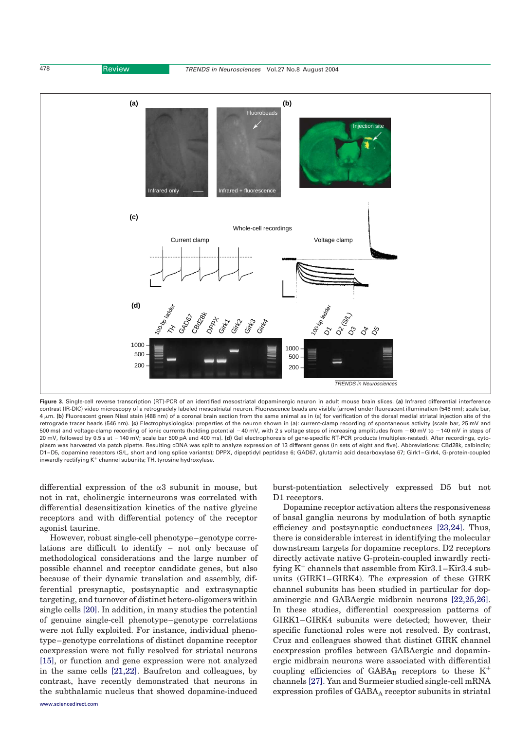<span id="page-3-0"></span>

Figure 3. Single-cell reverse transcription (RT)-PCR of an identified mesostriatal dopaminergic neuron in adult mouse brain slices. (a) Infrared differential interference contrast (IR-DIC) video microscopy of a retrogradely labeled mesostriatal neuron. Fluorescence beads are visible (arrow) under fluorescent illumination (546 nm); scale bar, 4 mm. (b) Fluorescent green Nissl stain (488 nm) of a coronal brain section from the same animal as in (a) for verification of the dorsal medial striatal injection site of the retrograde tracer beads (546 nm). (c) Electrophysiological properties of the neuron shown in (a): current-clamp recording of spontaneous activity (scale bar, 25 mV and 500 ms) and voltage-clamp recording of ionic currents (holding potential -40 mV, with 2 s voltage steps of increasing amplitudes from -60 mV to -140 mV in steps of 20 mV, followed by 0.5 s at -140 mV; scale bar 500 pA and 400 ms). (d) Gel electrophoresis of gene-specific RT-PCR products (multiplex-nested). After recordings, cytoplasm was harvested via patch pipette. Resulting cDNA was split to analyze expression of 13 different genes (in sets of eight and five). Abbreviations: CBd28k, calbindin; D1 –D5, dopamine receptors (S/L, short and long splice variants); DPPX, dipeptidyl peptidase 6; GAD67, glutamic acid decarboxylase 67; Girk1–Girk4, G-protein-coupled inwardly rectifying  $K^+$  channel subunits; TH, tyrosine hydroxylase.

differential expression of the  $\alpha$ 3 subunit in mouse, but not in rat, cholinergic interneurons was correlated with differential desensitization kinetics of the native glycine receptors and with differential potency of the receptor agonist taurine.

However, robust single-cell phenotype–genotype correlations are difficult to identify – not only because of methodological considerations and the large number of possible channel and receptor candidate genes, but also because of their dynamic translation and assembly, differential presynaptic, postsynaptic and extrasynaptic targeting, and turnover of distinct hetero-oligomers within single cells [\[20\]](#page-6-0). In addition, in many studies the potential of genuine single-cell phenotype–genotype correlations were not fully exploited. For instance, individual phenotype–genotype correlations of distinct dopamine receptor coexpression were not fully resolved for striatal neurons [\[15\],](#page-5-0) or function and gene expression were not analyzed in the same cells [\[21,22\]](#page-6-0). Baufreton and colleagues, by contrast, have recently demonstrated that neurons in the subthalamic nucleus that showed dopamine-induced

burst-potentiation selectively expressed D5 but not D1 receptors.

Dopamine receptor activation alters the responsiveness of basal ganglia neurons by modulation of both synaptic efficiency and postsynaptic conductances [\[23,24\].](#page-6-0) Thus, there is considerable interest in identifying the molecular downstream targets for dopamine receptors. D2 receptors directly activate native G-protein-coupled inwardly rectifying  $K^+$  channels that assemble from  $\text{Kir3.1}-\text{Kir3.4}$  subunits (GIRK1–GIRK4). The expression of these GIRK channel subunits has been studied in particular for dopaminergic and GABAergic midbrain neurons [\[22,25,26\]](#page-6-0). In these studies, differential coexpression patterns of GIRK1–GIRK4 subunits were detected; however, their specific functional roles were not resolved. By contrast, Cruz and colleagues showed that distinct GIRK channel coexpression profiles between GABAergic and dopaminergic midbrain neurons were associated with differential coupling efficiencies of GABA<sub>B</sub> receptors to these  $K^+$ channels [\[27\]](#page-6-0). Yan and Surmeier studied single-cell mRNA expression profiles of GABAA receptor subunits in striatal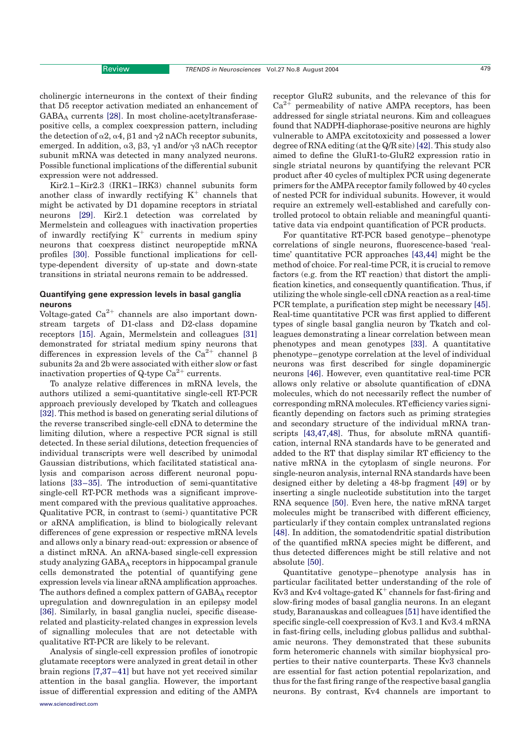cholinergic interneurons in the context of their finding that D5 receptor activation mediated an enhancement of  $GABA_A$  currents [\[28\].](#page-6-0) In most choline-acetyltransferasepositive cells, a complex coexpression pattern, including the detection of  $\alpha$ 2,  $\alpha$ 4,  $\beta$ 1 and  $\gamma$ 2 nACh receptor subunits, emerged. In addition,  $\alpha$ 3,  $\beta$ 3,  $\gamma$ 1 and/or  $\gamma$ 3 nACh receptor subunit mRNA was detected in many analyzed neurons. Possible functional implications of the differential subunit expression were not addressed.

Kir2.1–Kir2.3 (IRK1–IRK3) channel subunits form another class of inwardly rectifying  $K^+$  channels that might be activated by D1 dopamine receptors in striatal neurons [\[29\].](#page-6-0) Kir2.1 detection was correlated by Mermelstein and colleagues with inactivation properties of inwardly rectifying  $K^+$  currents in medium spiny neurons that coexpress distinct neuropeptide mRNA profiles [\[30\].](#page-6-0) Possible functional implications for celltype-dependent diversity of up-state and down-state transitions in striatal neurons remain to be addressed.

## Quantifying gene expression levels in basal ganglia neurons

Voltage-gated  $Ca^{2+}$  channels are also important downstream targets of D1-class and D2-class dopamine receptors [\[15\].](#page-5-0) Again, Mermelstein and colleagues [\[31\]](#page-6-0) demonstrated for striatal medium spiny neurons that differences in expression levels of the Ca<sup>2+</sup> channel  $\beta$ subunits 2a and 2b were associated with either slow or fast inactivation properties of Q-type  $Ca^{2+}$  currents.

To analyze relative differences in mRNA levels, the authors utilized a semi-quantitative single-cell RT-PCR approach previously developed by Tkatch and colleagues [\[32\].](#page-6-0) This method is based on generating serial dilutions of the reverse transcribed single-cell cDNA to determine the limiting dilution, where a respective PCR signal is still detected. In these serial dilutions, detection frequencies of individual transcripts were well described by unimodal Gaussian distributions, which facilitated statistical analysis and comparison across different neuronal populations [\[33–35\]](#page-6-0). The introduction of semi-quantitative single-cell RT-PCR methods was a significant improvement compared with the previous qualitative approaches. Qualitative PCR, in contrast to (semi-) quantitative PCR or aRNA amplification, is blind to biologically relevant differences of gene expression or respective mRNA levels and allows only a binary read-out: expression or absence of a distinct mRNA. An aRNA-based single-cell expression study analyzing GABAA receptors in hippocampal granule cells demonstrated the potential of quantifying gene expression levels via linear aRNA amplification approaches. The authors defined a complex pattern of GABA<sub>A</sub> receptor upregulation and downregulation in an epilepsy model [\[36\].](#page-6-0) Similarly, in basal ganglia nuclei, specific diseaserelated and plasticity-related changes in expression levels of signalling molecules that are not detectable with qualitative RT-PCR are likely to be relevant.

Analysis of single-cell expression profiles of ionotropic glutamate receptors were analyzed in great detail in other brain regions [\[7,37–41\]](#page-5-0) but have not yet received similar attention in the basal ganglia. However, the important issue of differential expression and editing of the AMPA

[www.sciencedirect.com](http://www.sciencedirect.com)

receptor GluR2 subunits, and the relevance of this for  $Ca^{2+}$  permeability of native AMPA receptors, has been addressed for single striatal neurons. Kim and colleagues found that NADPH-diaphorase-positive neurons are highly vulnerable to AMPA excitotoxicity and possessed a lower degree of RNA editing (at the Q/R site) [\[42\].](#page-6-0) This study also aimed to define the GluR1-to-GluR2 expression ratio in single striatal neurons by quantifying the relevant PCR product after 40 cycles of multiplex PCR using degenerate primers for the AMPA receptor family followed by 40 cycles of nested PCR for individual subunits. However, it would require an extremely well-established and carefully controlled protocol to obtain reliable and meaningful quantitative data via endpoint quantification of PCR products.

For quantitative RT-PCR based genotype–phenotype correlations of single neurons, fluorescence-based 'realtime' quantitative PCR approaches [\[43,44\]](#page-6-0) might be the method of choice. For real-time PCR, it is crucial to remove factors (e.g. from the RT reaction) that distort the amplification kinetics, and consequently quantification. Thus, if utilizing the whole single-cell cDNA reaction as a real-time PCR template, a purification step might be necessary [\[45\]](#page-6-0). Real-time quantitative PCR was first applied to different types of single basal ganglia neuron by Tkatch and colleagues demonstrating a linear correlation between mean phenotypes and mean genotypes [\[33\]](#page-6-0). A quantitative phenotype–genotype correlation at the level of individual neurons was first described for single dopaminergic neurons [\[46\].](#page-6-0) However, even quantitative real-time PCR allows only relative or absolute quantification of cDNA molecules, which do not necessarily reflect the number of corresponding mRNA molecules. RTefficiency varies significantly depending on factors such as priming strategies and secondary structure of the individual mRNA transcripts [\[43,47,48\].](#page-6-0) Thus, for absolute mRNA quantification, internal RNA standards have to be generated and added to the RT that display similar RT efficiency to the native mRNA in the cytoplasm of single neurons. For single-neuron analysis, internal RNA standards have been designed either by deleting a 48-bp fragment [\[49\]](#page-6-0) or by inserting a single nucleotide substitution into the target RNA sequence [\[50\].](#page-6-0) Even here, the native mRNA target molecules might be transcribed with different efficiency, particularly if they contain complex untranslated regions [\[48\].](#page-6-0) In addition, the somatodendritic spatial distribution of the quantified mRNA species might be different, and thus detected differences might be still relative and not absolute [\[50\]](#page-6-0).

Quantitative genotype–phenotype analysis has in particular facilitated better understanding of the role of Kv3 and Kv4 voltage-gated  $K^+$  channels for fast-firing and slow-firing modes of basal ganglia neurons. In an elegant study, Baranauskas and colleagues [\[51\]](#page-6-0) have identified the specific single-cell coexpression of Kv3.1 and Kv3.4 mRNA in fast-firing cells, including globus pallidus and subthalamic neurons. They demonstrated that these subunits form heteromeric channels with similar biophysical properties to their native counterparts. These Kv3 channels are essential for fast action potential repolarization, and thus for the fast firing range of the respective basal ganglia neurons. By contrast, Kv4 channels are important to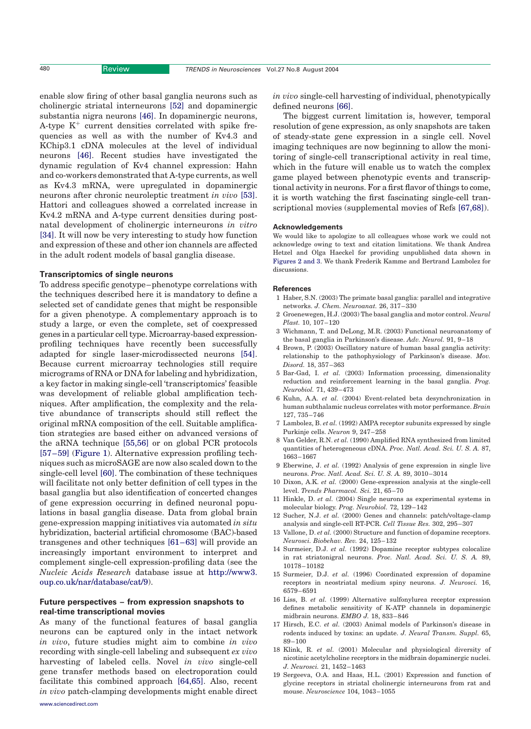<span id="page-5-0"></span>

enable slow firing of other basal ganglia neurons such as cholinergic striatal interneurons [\[52\]](#page-6-0) and dopaminergic substantia nigra neurons [\[46\]](#page-6-0). In dopaminergic neurons, A-type  $K^+$  current densities correlated with spike frequencies as well as with the number of Kv4.3 and KChip3.1 cDNA molecules at the level of individual neurons [\[46\].](#page-6-0) Recent studies have investigated the dynamic regulation of Kv4 channel expression: Hahn and co-workers demonstrated that A-type currents, as well as Kv4.3 mRNA, were upregulated in dopaminergic neurons after chronic neuroleptic treatment in vivo [\[53\]](#page-6-0). Hattori and colleagues showed a correlated increase in Kv4.2 mRNA and A-type current densities during postnatal development of cholinergic interneurons in vitro [\[34\].](#page-6-0) It will now be very interesting to study how function and expression of these and other ion channels are affected in the adult rodent models of basal ganglia disease.

#### Transcriptomics of single neurons

To address specific genotype–phenotype correlations with the techniques described here it is mandatory to define a selected set of candidate genes that might be responsible for a given phenotype. A complementary approach is to study a large, or even the complete, set of coexpressed genes in a particular cell type. Microarray-based expressionprofiling techniques have recently been successfully adapted for single laser-microdissected neurons [\[54\]](#page-6-0). Because current microarray technologies still require micrograms of RNA or DNA for labeling and hybridization, a key factor in making single-cell 'transcriptomics' feasible was development of reliable global amplification techniques. After amplification, the complexity and the relative abundance of transcripts should still reflect the original mRNA composition of the cell. Suitable amplification strategies are based either on advanced versions of the aRNA technique [\[55,56\]](#page-6-0) or on global PCR protocols [\[57–59\]](#page-6-0) [\(Figure 1\)](#page-1-0). Alternative expression profiling techniques such as microSAGE are now also scaled down to the single-cell level [\[60\]](#page-6-0). The combination of these techniques will facilitate not only better definition of cell types in the basal ganglia but also identification of concerted changes of gene expression occurring in defined neuronal populations in basal ganglia disease. Data from global brain gene-expression mapping initiatives via automated in situ hybridization, bacterial artificial chromosome (BAC)-based transgenes and other techniques [\[61–63\]](#page-6-0) will provide an increasingly important environment to interpret and complement single-cell expression-profiling data (see the Nucleic Acids Research database issue at [http://www3.](http://www3.oup.co.uk/nar/database/cat/9) [oup.co.uk/nar/database/cat/9\)](http://www3.oup.co.uk/nar/database/cat/9).

#### Future perspectives – from expression snapshots to real-time transcriptional movies

As many of the functional features of basal ganglia neurons can be captured only in the intact network in vivo, future studies might aim to combine in vivo recording with single-cell labeling and subsequent ex vivo harvesting of labeled cells. Novel in vivo single-cell gene transfer methods based on electroporation could facilitate this combined approach [\[64,65\].](#page-6-0) Also, recent in vivo patch-clamping developments might enable direct in vivo single-cell harvesting of individual, phenotypically defined neurons [\[66\].](#page-6-0)

The biggest current limitation is, however, temporal resolution of gene expression, as only snapshots are taken of steady-state gene expression in a single cell. Novel imaging techniques are now beginning to allow the monitoring of single-cell transcriptional activity in real time, which in the future will enable us to watch the complex game played between phenotypic events and transcriptional activity in neurons. For a first flavor of things to come, it is worth watching the first fascinating single-cell tran-scriptional movies (supplemental movies of Refs [\[67,68\]](#page-6-0)).

#### Acknowledgements

We would like to apologize to all colleagues whose work we could not acknowledge owing to text and citation limitations. We thank Andrea Hetzel and Olga Haeckel for providing unpublished data shown in [Figures 2 and 3](#page-2-0). We thank Frederik Kamme and Bertrand Lambolez for discussions.

#### References

- 1 Haber, S.N. (2003) The primate basal ganglia: parallel and integrative networks. J. Chem. Neuroanat. 26, 317–330
- 2 Groenewegen, H.J. (2003) The basal ganglia and motor control. Neural Plast. 10, 107–120
- 3 Wichmann, T. and DeLong, M.R. (2003) Functional neuroanatomy of the basal ganglia in Parkinson's disease. Adv. Neurol. 91, 9–18
- 4 Brown, P. (2003) Oscillatory nature of human basal ganglia activity: relationship to the pathophysiology of Parkinson's disease. Mov. Disord. 18, 357–363
- 5 Bar-Gad, I. et al. (2003) Information processing, dimensionality reduction and reinforcement learning in the basal ganglia. Prog. Neurobiol. 71, 439–473
- 6 Kuhn, A.A. et al. (2004) Event-related beta desynchronization in human subthalamic nucleus correlates with motor performance. Brain 127, 735–746
- 7 Lambolez, B. et al. (1992) AMPA receptor subunits expressed by single Purkinje cells. Neuron 9, 247–258
- 8 Van Gelder, R.N. et al. (1990) Amplified RNA synthesized from limited quantities of heterogeneous cDNA. Proc. Natl. Acad. Sci. U. S. A. 87, 1663–1667
- 9 Eberwine, J. et al. (1992) Analysis of gene expression in single live neurons. Proc. Natl. Acad. Sci. U. S. A. 89, 3010–3014
- 10 Dixon, A.K. et al. (2000) Gene-expression analysis at the single-cell level. Trends Pharmacol. Sci. 21, 65–70
- 11 Hinkle, D. et al. (2004) Single neurons as experimental systems in molecular biology. Prog. Neurobiol. 72, 129–142
- 12 Sucher, N.J. et al. (2000) Genes and channels: patch/voltage-clamp analysis and single-cell RT-PCR. Cell Tissue Res. 302, 295–307
- 13 Vallone, D. et al. (2000) Structure and function of dopamine receptors. Neurosci. Biobehav. Rev. 24, 125–132
- 14 Surmeier, D.J. et al. (1992) Dopamine receptor subtypes colocalize in rat striatonigral neurons. Proc. Natl. Acad. Sci. U. S. A. 89, 10178–10182
- 15 Surmeier, D.J. et al. (1996) Coordinated expression of dopamine receptors in neostriatal medium spiny neurons. J. Neurosci. 16, 6579–6591
- 16 Liss, B. et al. (1999) Alternative sulfonylurea receptor expression defines metabolic sensitivity of K-ATP channels in dopaminergic midbrain neurons. EMBO J. 18, 833–846
- 17 Hirsch, E.C. et al. (2003) Animal models of Parkinson's disease in rodents induced by toxins: an update. J. Neural Transm. Suppl. 65, 89–100
- 18 Klink, R. et al. (2001) Molecular and physiological diversity of nicotinic acetylcholine receptors in the midbrain dopaminergic nuclei. J. Neurosci. 21, 1452–1463
- 19 Sergeeva, O.A. and Haas, H.L. (2001) Expression and function of glycine receptors in striatal cholinergic interneurons from rat and mouse. Neuroscience 104, 1043–1055